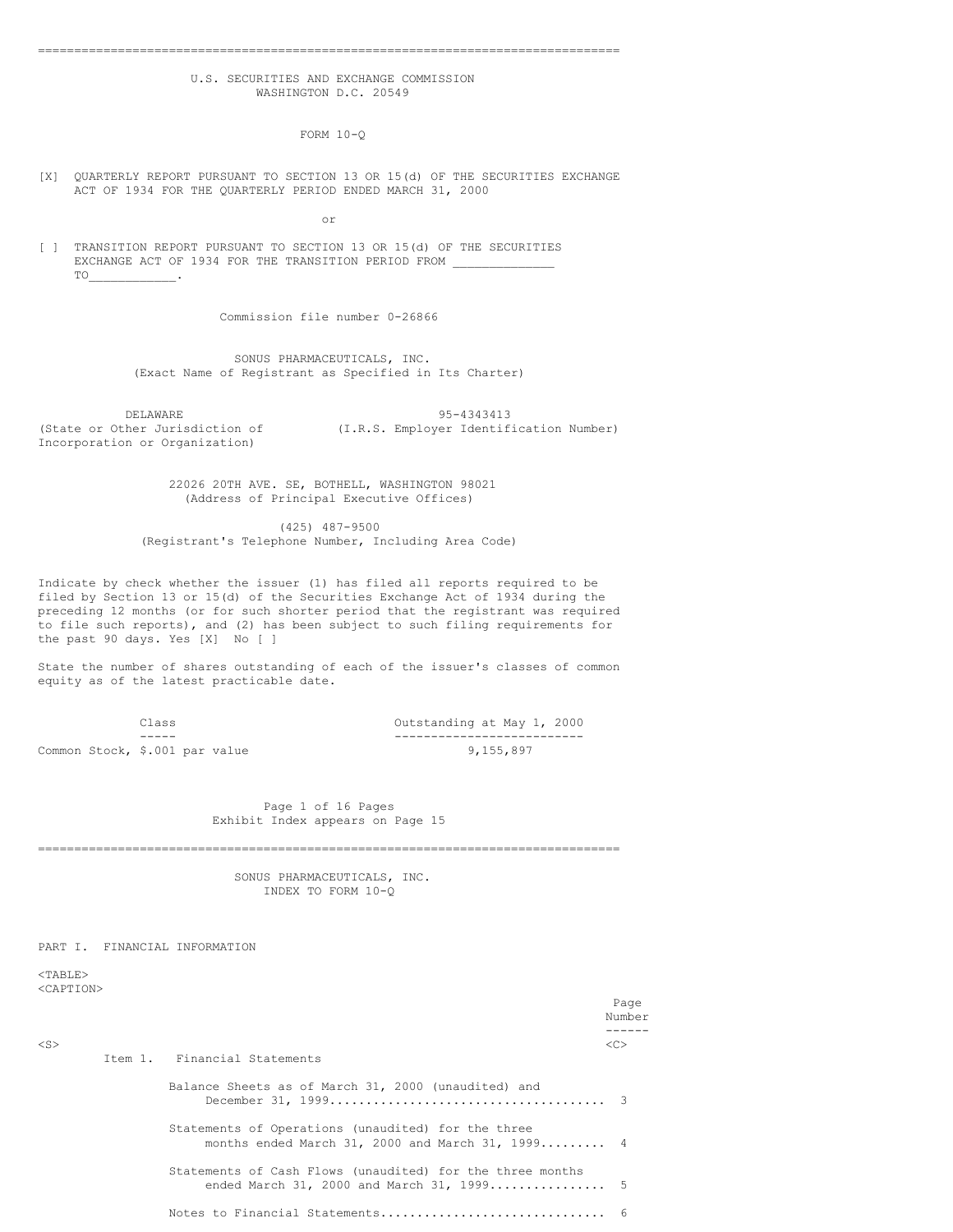## U.S. SECURITIES AND EXCHANGE COMMISSION WASHINGTON D.C. 20549

================================================================================

FORM 10-Q

#### [X] QUARTERLY REPORT PURSUANT TO SECTION 13 OR 15(d) OF THE SECURITIES EXCHANGE ACT OF 1934 FOR THE QUARTERLY PERIOD ENDED MARCH 31, 2000

or

[ ] TRANSITION REPORT PURSUANT TO SECTION 13 OR 15(d) OF THE SECURITIES EXCHANGE ACT OF 1934 FOR THE TRANSITION PERIOD FROM TO\_\_\_\_\_\_\_\_\_\_\_\_.

Commission file number 0-26866

SONUS PHARMACEUTICALS, INC. (Exact Name of Registrant as Specified in Its Charter)

DELAWARE 95-4343413<br>(State or Other Jurisdiction of  $(1.R.S.$  Employer Identif (I.R.S. Employer Identification Number) Incorporation or Organization)

> 22026 20TH AVE. SE, BOTHELL, WASHINGTON 98021 (Address of Principal Executive Offices)

(425) 487-9500 (Registrant's Telephone Number, Including Area Code)

Indicate by check whether the issuer (1) has filed all reports required to be filed by Section 13 or 15(d) of the Securities Exchange Act of 1934 during the preceding 12 months (or for such shorter period that the registrant was required to file such reports), and (2) has been subject to such filing requirements for the past 90 days. Yes [X] No [ ]

State the number of shares outstanding of each of the issuer's classes of common equity as of the latest practicable date.

|                                | Class |  |  |
|--------------------------------|-------|--|--|
|                                |       |  |  |
| Common Stock, \$.001 par value |       |  |  |

Outstanding at May 1, 2000 ----- -------------------------- 9,155,897

#### Page 1 of 16 Pages Exhibit Index appears on Page 15

================================================================================

SONUS PHARMACEUTICALS, INC. INDEX TO FORM 10-Q

PART I. FINANCIAL INFORMATION

 $<$ TABLE $>$ <CAPTION>

|           |                                                                                                        | Page<br>Number |
|-----------|--------------------------------------------------------------------------------------------------------|----------------|
| $<$ S $>$ | Item 1. Financial Statements                                                                           | <<             |
|           | Balance Sheets as of March 31, 2000 (unaudited) and                                                    |                |
|           | Statements of Operations (unaudited) for the three<br>months ended March 31, 2000 and March 31, 1999 4 |                |
|           | Statements of Cash Flows (unaudited) for the three months<br>ended March 31, 2000 and March 31, 1999 5 |                |
|           |                                                                                                        |                |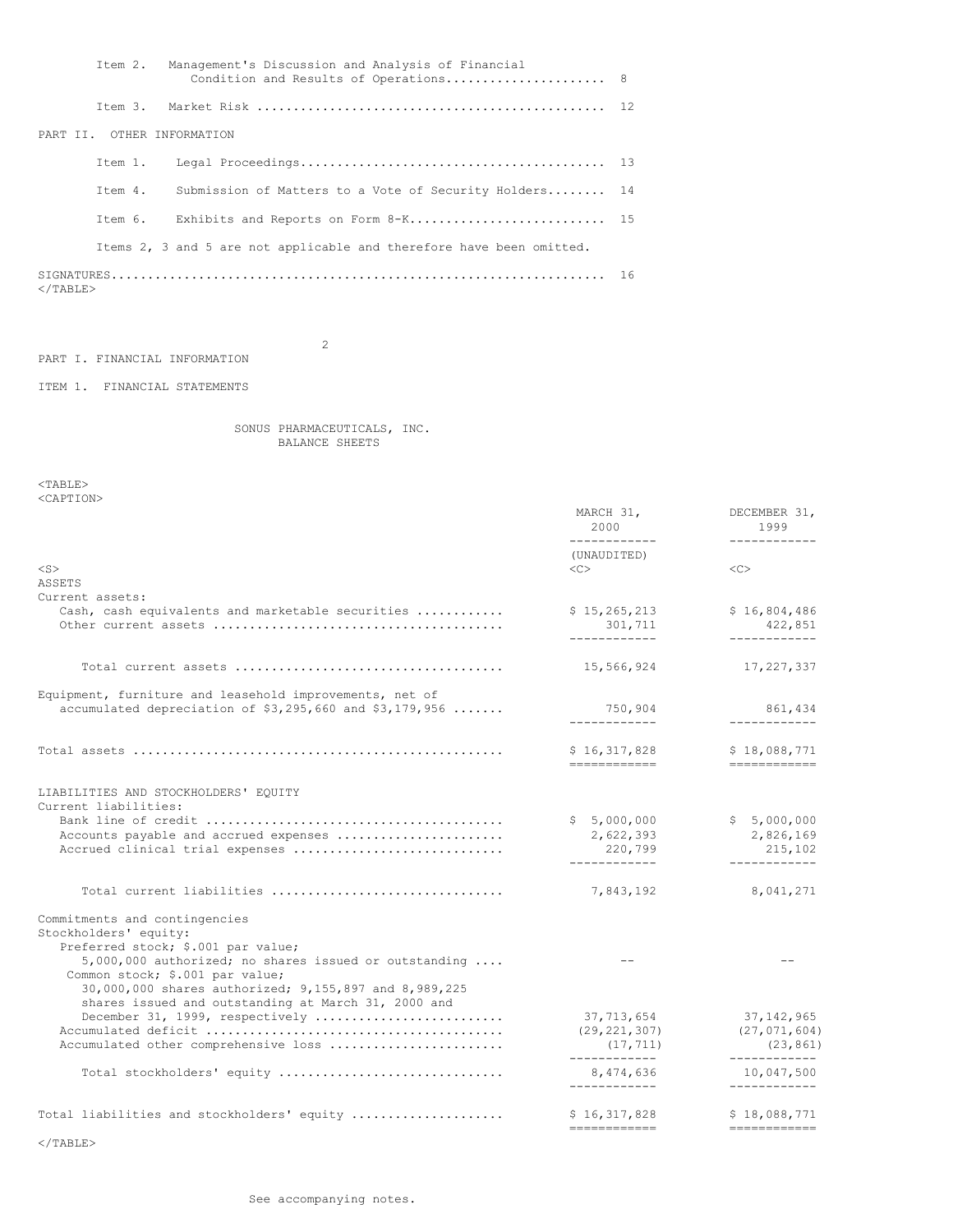|                   |                            | Item 2. Management's Discussion and Analysis of Financial            |  |
|-------------------|----------------------------|----------------------------------------------------------------------|--|
|                   |                            |                                                                      |  |
|                   | PART II. OTHER INFORMATION |                                                                      |  |
|                   |                            |                                                                      |  |
|                   |                            | Item 4. Submission of Matters to a Vote of Security Holders 14       |  |
|                   |                            | Item 6. Exhibits and Reports on Form 8-K 15                          |  |
|                   |                            | Items 2, 3 and 5 are not applicable and therefore have been omitted. |  |
| $\langle$ /TABLE> |                            |                                                                      |  |

PART I. FINANCIAL INFORMATION

ITEM 1. FINANCIAL STATEMENTS

2

SONUS PHARMACEUTICALS, INC. BALANCE SHEETS

 $<$ TABLE $>$ <CAPTION>

| NUZIL LEUIV                                                                                                          | MARCH 31,<br>2000<br>------------         | DECEMBER 31,<br>1999                        |
|----------------------------------------------------------------------------------------------------------------------|-------------------------------------------|---------------------------------------------|
|                                                                                                                      | (UNAUDITED)                               | ------------                                |
| $<$ S $>$                                                                                                            | $<\infty$                                 | <<                                          |
| <b>ASSETS</b>                                                                                                        |                                           |                                             |
| Current assets:                                                                                                      |                                           |                                             |
| Cash, cash equivalents and marketable securities                                                                     | \$15, 265, 213<br>301,711<br>------------ | \$16,804,486<br>422,851<br>------------     |
|                                                                                                                      |                                           |                                             |
|                                                                                                                      | 15,566,924                                | 17,227,337                                  |
| Equipment, furniture and leasehold improvements, net of<br>accumulated depreciation of $$3,295,660$ and $$3,179,956$ | 750,904                                   | 861,434                                     |
|                                                                                                                      | ------------                              | ------------                                |
|                                                                                                                      | \$16,317,828<br>-------------             | \$18,088,771                                |
|                                                                                                                      |                                           |                                             |
| LIABILITIES AND STOCKHOLDERS' EQUITY<br>Current liabilities:                                                         |                                           |                                             |
|                                                                                                                      | \$5,000,000                               | \$5,000,000                                 |
| Accounts payable and accrued expenses                                                                                | 2,622,393                                 | 2,826,169                                   |
| Accrued clinical trial expenses                                                                                      | 220,799<br>------------                   | 215,102<br>------------                     |
| Total current liabilities                                                                                            | 7,843,192                                 | 8,041,271                                   |
| Commitments and contingencies                                                                                        |                                           |                                             |
| Stockholders' equity:                                                                                                |                                           |                                             |
| Preferred stock; \$.001 par value;                                                                                   |                                           |                                             |
| $5,000,000$ authorized; no shares issued or outstanding                                                              |                                           |                                             |
| Common stock; \$.001 par value;                                                                                      |                                           |                                             |
| 30,000,000 shares authorized; 9,155,897 and 8,989,225                                                                |                                           |                                             |
| shares issued and outstanding at March 31, 2000 and<br>December 31, 1999, respectively                               | 37,713,654                                | 37,142,965                                  |
|                                                                                                                      | (29, 221, 307)                            | (27, 071, 604)                              |
| Accumulated other comprehensive loss                                                                                 | (17, 711)                                 | (23, 861)                                   |
| Total stockholders' equity                                                                                           | ____________<br>8,474,636<br>------------ | ------------<br>10,047,500<br>------------  |
|                                                                                                                      |                                           |                                             |
| Total liabilities and stockholders' equity                                                                           | \$16,317,828<br>============              | \$18,088,771<br>$=$ = = = = = = = = = = = = |
|                                                                                                                      |                                           |                                             |

</TABLE>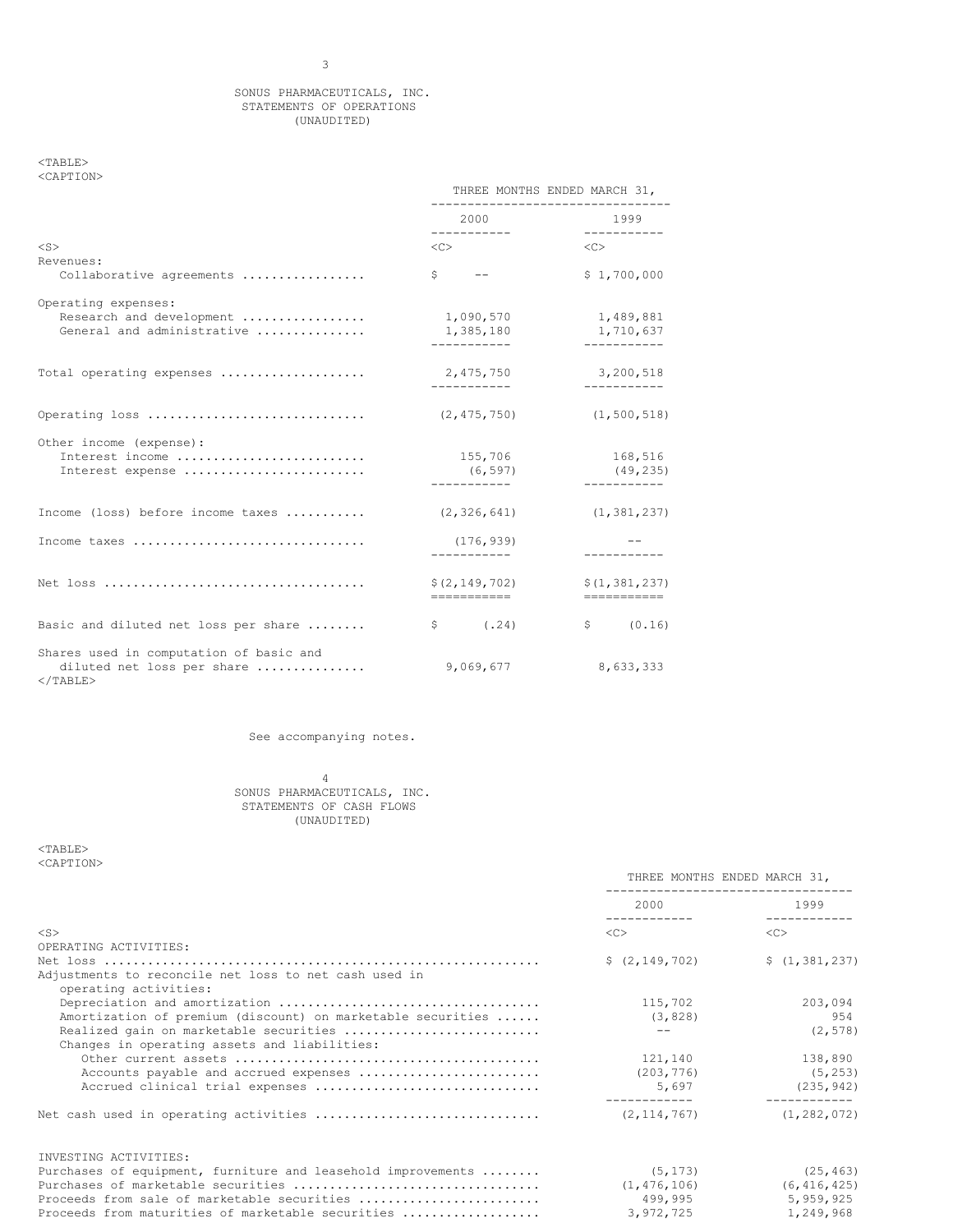#### SONUS PHARMACEUTICALS, INC. STATEMENTS OF OPERATIONS (UNAUDITED)

 $<sub>TABLE></sub>$ </sub> <CAPTION>

|                                                                                      | THREE MONTHS ENDED MARCH 31,           |                                       |
|--------------------------------------------------------------------------------------|----------------------------------------|---------------------------------------|
|                                                                                      | 2000<br>___________                    | 1999<br>------------                  |
| $<$ S $>$                                                                            | $\langle C \rangle$                    | $\langle C \rangle$                   |
| Revenues:<br>Collaborative agreements                                                | $S \qquad --$                          | \$1,700,000                           |
| Operating expenses:<br>Research and development<br>General and administrative        | 1,090,570<br>1,385,180<br>------------ | 1,489,881<br>1,710,637<br>___________ |
| Total operating expenses                                                             | 2,475,750<br>------------              | 3,200,518<br>-----------              |
| Operating loss                                                                       | (2, 475, 750)                          | (1, 500, 518)                         |
| Other income (expense):<br>Interest income<br>Interest expense                       | 155,706<br>(6, 597)<br>.               | 168,516<br>(49, 235)<br>-----------   |
| Income (loss) before income taxes                                                    | (2, 326, 641)                          | (1, 381, 237)                         |
| Income taxes                                                                         | (176, 939)<br>------------             |                                       |
|                                                                                      | \$(2, 149, 702)<br>===========         | \$(1, 381, 237)<br>===========        |
| Basic and diluted net loss per share                                                 | $\frac{1}{2}$ (.24)                    | \$ (0.16)                             |
| Shares used in computation of basic and<br>diluted net loss per share<br>$<$ /TABLE> | 9,069,677                              | 8,633,333                             |

See accompanying notes.

4 SONUS PHARMACEUTICALS, INC. STATEMENTS OF CASH FLOWS (UNAUDITED)

#### $<$ TABLE> <CAPTION>

| THREE MONTHS ENDED MARCH 31, |                                                                                            |
|------------------------------|--------------------------------------------------------------------------------------------|
| 2000                         | 1999<br>-------------                                                                      |
| <<                           | $\langle C \rangle$                                                                        |
|                              |                                                                                            |
| \$ (2, 149, 702)             | \$(1, 381, 237)                                                                            |
|                              |                                                                                            |
|                              |                                                                                            |
| 115,702                      | 203,094                                                                                    |
| (3, 828)                     | 954                                                                                        |
| $- -$                        | (2, 578)                                                                                   |
|                              |                                                                                            |
| 121,140                      | 138,890                                                                                    |
|                              | (5, 253)                                                                                   |
|                              | $5,697$ (235,942)                                                                          |
|                              | (1, 282, 072)                                                                              |
|                              |                                                                                            |
|                              | (25, 463)                                                                                  |
|                              | $(1, 476, 106)$ (6, 416, 425)                                                              |
|                              | 5,959,925                                                                                  |
|                              | 1,249,968                                                                                  |
|                              | -----------------------<br>(203, 776)<br>(2, 114, 767)<br>(5, 173)<br>499,995<br>3,972,725 |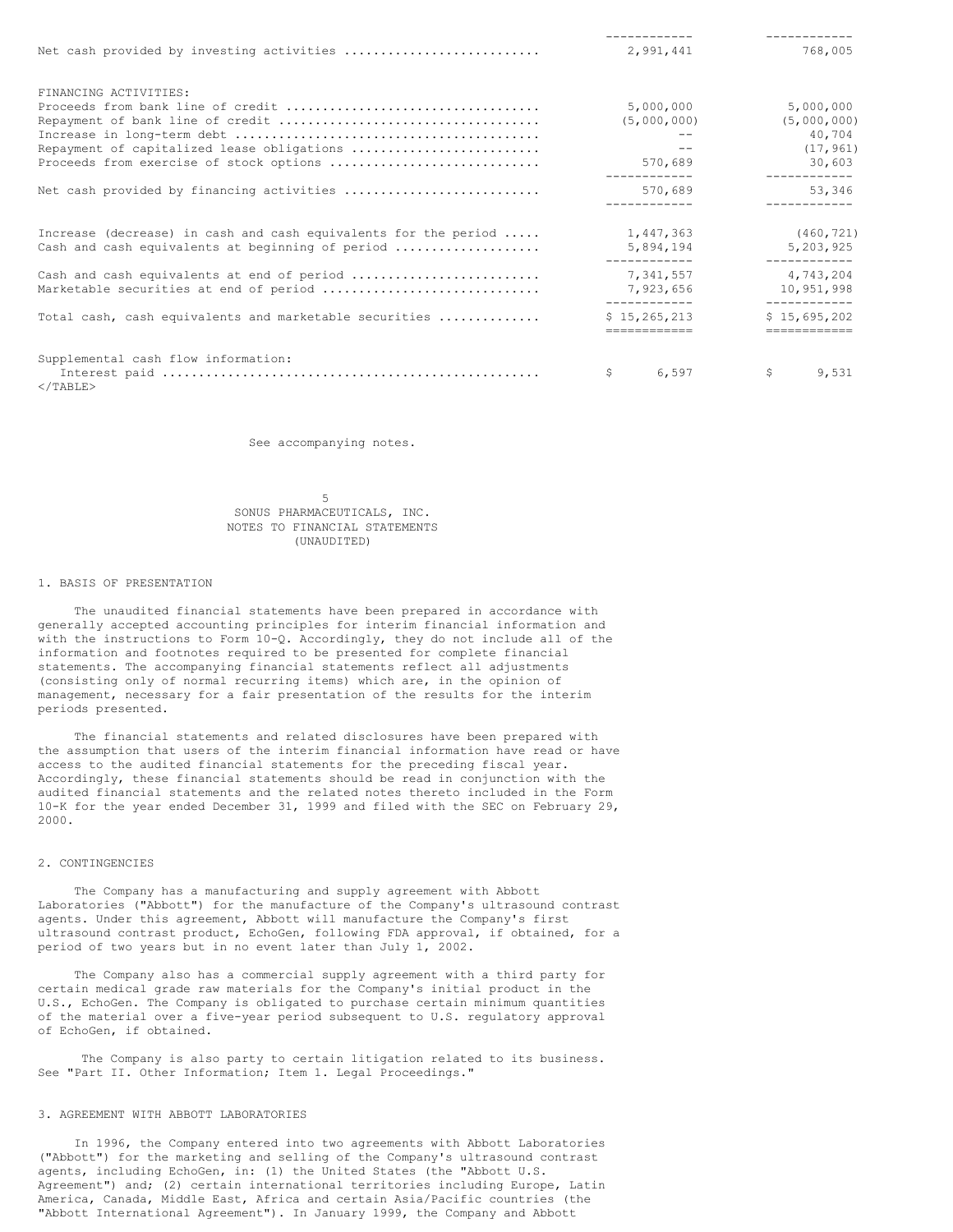|                                                                                                                     | 2,991,441                      | 768,005                                |
|---------------------------------------------------------------------------------------------------------------------|--------------------------------|----------------------------------------|
| FINANCING ACTIVITIES:                                                                                               |                                |                                        |
|                                                                                                                     | 5,000,000                      | 5,000,000                              |
|                                                                                                                     | (5,000,000)                    | (5,000,000)                            |
|                                                                                                                     |                                | 40,704                                 |
| Repayment of capitalized lease obligations                                                                          | $- -$                          | (17, 961)                              |
| Proceeds from exercise of stock options                                                                             | 570,689                        | 30,603                                 |
| Net cash provided by financing activities                                                                           | 570,689                        | ------------<br>53,346<br>------------ |
| Increase (decrease) in cash and cash equivalents for the period<br>Cash and cash equivalents at beginning of period | 1,447,363<br>5,894,194         | (460, 721)<br>5,203,925                |
| Cash and cash equivalents at end of period                                                                          | ------------<br>7,341,557      | ___________<br>4,743,204               |
| Marketable securities at end of period                                                                              | 7,923,656                      | 10,951,998                             |
| Total cash, cash equivalents and marketable securities                                                              | ------------<br>\$15, 265, 213 | -----------<br>\$15,695,202            |
|                                                                                                                     |                                |                                        |
| Supplemental cash flow information:                                                                                 |                                |                                        |
| $\langle$ /TABLE>                                                                                                   | \$.<br>6,597                   | \$<br>9,531                            |

See accompanying notes.

5 SONUS PHARMACEUTICALS, INC. NOTES TO FINANCIAL STATEMENTS (UNAUDITED)

#### 1. BASIS OF PRESENTATION

The unaudited financial statements have been prepared in accordance with generally accepted accounting principles for interim financial information and with the instructions to Form 10-Q. Accordingly, they do not include all of the information and footnotes required to be presented for complete financial statements. The accompanying financial statements reflect all adjustments (consisting only of normal recurring items) which are, in the opinion of management, necessary for a fair presentation of the results for the interim periods presented.

The financial statements and related disclosures have been prepared with the assumption that users of the interim financial information have read or have access to the audited financial statements for the preceding fiscal year. Accordingly, these financial statements should be read in conjunction with the audited financial statements and the related notes thereto included in the Form 10-K for the year ended December 31, 1999 and filed with the SEC on February 29, 2000.

#### 2. CONTINGENCIES

The Company has a manufacturing and supply agreement with Abbott Laboratories ("Abbott") for the manufacture of the Company's ultrasound contrast agents. Under this agreement, Abbott will manufacture the Company's first ultrasound contrast product, EchoGen, following FDA approval, if obtained, for a period of two years but in no event later than July 1, 2002.

The Company also has a commercial supply agreement with a third party for certain medical grade raw materials for the Company's initial product in the U.S., EchoGen. The Company is obligated to purchase certain minimum quantities of the material over a five-year period subsequent to U.S. regulatory approval of EchoGen, if obtained.

The Company is also party to certain litigation related to its business. See "Part II. Other Information; Item 1. Legal Proceedings."

## 3. AGREEMENT WITH ABBOTT LABORATORIES

In 1996, the Company entered into two agreements with Abbott Laboratories ("Abbott") for the marketing and selling of the Company's ultrasound contrast agents, including EchoGen, in: (1) the United States (the "Abbott U.S. Agreement") and; (2) certain international territories including Europe, Latin America, Canada, Middle East, Africa and certain Asia/Pacific countries (the "Abbott International Agreement"). In January 1999, the Company and Abbott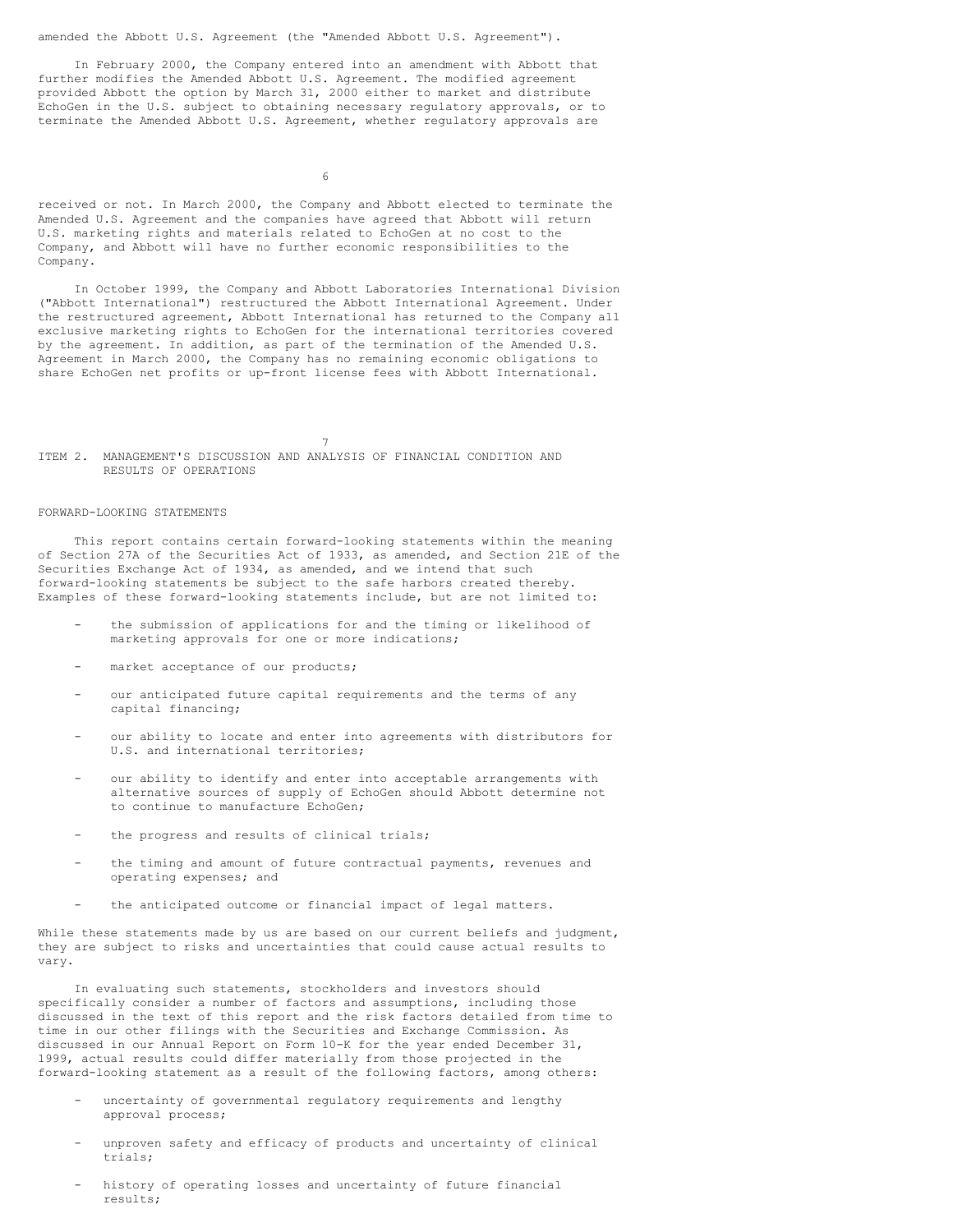amended the Abbott U.S. Agreement (the "Amended Abbott U.S. Agreement").

In February 2000, the Company entered into an amendment with Abbott that further modifies the Amended Abbott U.S. Agreement. The modified agreement provided Abbott the option by March 31, 2000 either to market and distribute EchoGen in the U.S. subject to obtaining necessary regulatory approvals, or to terminate the Amended Abbott U.S. Agreement, whether regulatory approvals are

6

received or not. In March 2000, the Company and Abbott elected to terminate the Amended U.S. Agreement and the companies have agreed that Abbott will return U.S. marketing rights and materials related to EchoGen at no cost to the Company, and Abbott will have no further economic responsibilities to the Company.

In October 1999, the Company and Abbott Laboratories International Division ("Abbott International") restructured the Abbott International Agreement. Under the restructured agreement, Abbott International has returned to the Company all exclusive marketing rights to EchoGen for the international territories covered by the agreement. In addition, as part of the termination of the Amended U.S. Agreement in March 2000, the Company has no remaining economic obligations to share EchoGen net profits or up-front license fees with Abbott International.

7

ITEM 2. MANAGEMENT'S DISCUSSION AND ANALYSIS OF FINANCIAL CONDITION AND RESULTS OF OPERATIONS

#### FORWARD-LOOKING STATEMENTS

This report contains certain forward-looking statements within the meaning of Section 27A of the Securities Act of 1933, as amended, and Section 21E of the Securities Exchange Act of 1934, as amended, and we intend that such forward-looking statements be subject to the safe harbors created thereby. Examples of these forward-looking statements include, but are not limited to:

- the submission of applications for and the timing or likelihood of marketing approvals for one or more indications;
- market acceptance of our products;
- our anticipated future capital requirements and the terms of any capital financing;
- our ability to locate and enter into agreements with distributors for U.S. and international territories;
- our ability to identify and enter into acceptable arrangements with alternative sources of supply of EchoGen should Abbott determine not to continue to manufacture EchoGen;
- the progress and results of clinical trials;
- the timing and amount of future contractual payments, revenues and operating expenses; and
- the anticipated outcome or financial impact of legal matters.

While these statements made by us are based on our current beliefs and judgment, they are subject to risks and uncertainties that could cause actual results to vary.

In evaluating such statements, stockholders and investors should specifically consider a number of factors and assumptions, including those discussed in the text of this report and the risk factors detailed from time to time in our other filings with the Securities and Exchange Commission. As discussed in our Annual Report on Form 10-K for the year ended December 31, 1999, actual results could differ materially from those projected in the forward-looking statement as a result of the following factors, among others:

- uncertainty of governmental regulatory requirements and lengthy approval process;
- unproven safety and efficacy of products and uncertainty of clinical trials;
- history of operating losses and uncertainty of future financial results;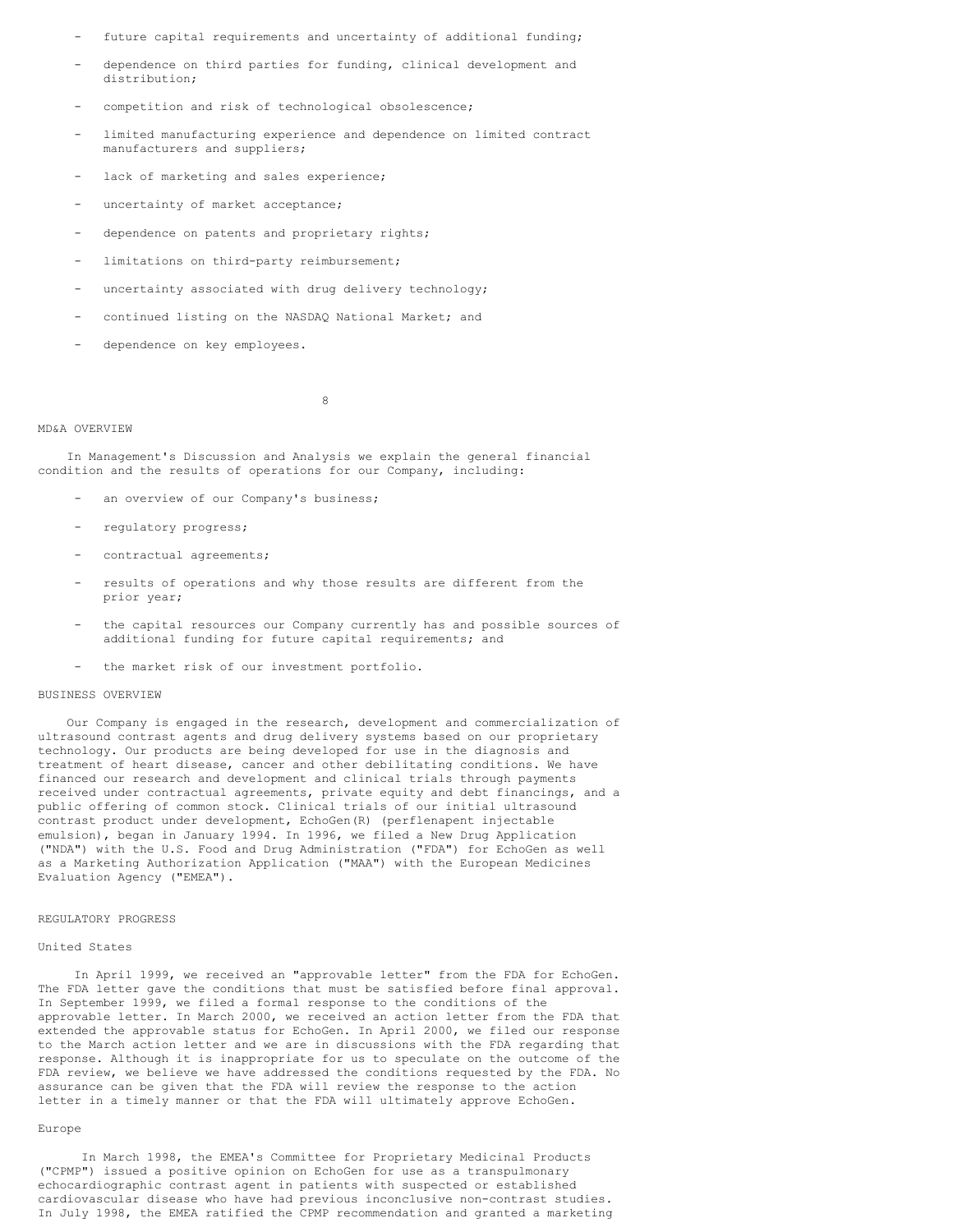- future capital requirements and uncertainty of additional funding;
- dependence on third parties for funding, clinical development and distribution;
- competition and risk of technological obsolescence;
- limited manufacturing experience and dependence on limited contract manufacturers and suppliers;
- lack of marketing and sales experience;
- uncertainty of market acceptance;
- dependence on patents and proprietary rights;
- limitations on third-party reimbursement;
- uncertainty associated with drug delivery technology;
- continued listing on the NASDAQ National Market; and
- dependence on key employees.

8

#### MD&A OVERVIEW

In Management's Discussion and Analysis we explain the general financial condition and the results of operations for our Company, including:

- an overview of our Company's business;
- requlatory progress;
- contractual agreements;
- results of operations and why those results are different from the prior year;
- the capital resources our Company currently has and possible sources of additional funding for future capital requirements; and
- the market risk of our investment portfolio.

## BUSINESS OVERVIEW

Our Company is engaged in the research, development and commercialization of ultrasound contrast agents and drug delivery systems based on our proprietary technology. Our products are being developed for use in the diagnosis and treatment of heart disease, cancer and other debilitating conditions. We have financed our research and development and clinical trials through payments received under contractual agreements, private equity and debt financings, and a public offering of common stock. Clinical trials of our initial ultrasound contrast product under development, EchoGen(R) (perflenapent injectable emulsion), began in January 1994. In 1996, we filed a New Drug Application ("NDA") with the U.S. Food and Drug Administration ("FDA") for EchoGen as well as a Marketing Authorization Application ("MAA") with the European Medicines Evaluation Agency ("EMEA").

#### REGULATORY PROGRESS

#### United States

In April 1999, we received an "approvable letter" from the FDA for EchoGen. The FDA letter gave the conditions that must be satisfied before final approval. In September 1999, we filed a formal response to the conditions of the approvable letter. In March 2000, we received an action letter from the FDA that extended the approvable status for EchoGen. In April 2000, we filed our response to the March action letter and we are in discussions with the FDA regarding that response. Although it is inappropriate for us to speculate on the outcome of the FDA review, we believe we have addressed the conditions requested by the FDA. No assurance can be given that the FDA will review the response to the action letter in a timely manner or that the FDA will ultimately approve EchoGen.

#### Europe

In March 1998, the EMEA's Committee for Proprietary Medicinal Products ("CPMP") issued a positive opinion on EchoGen for use as a transpulmonary echocardiographic contrast agent in patients with suspected or established cardiovascular disease who have had previous inconclusive non-contrast studies. In July 1998, the EMEA ratified the CPMP recommendation and granted a marketing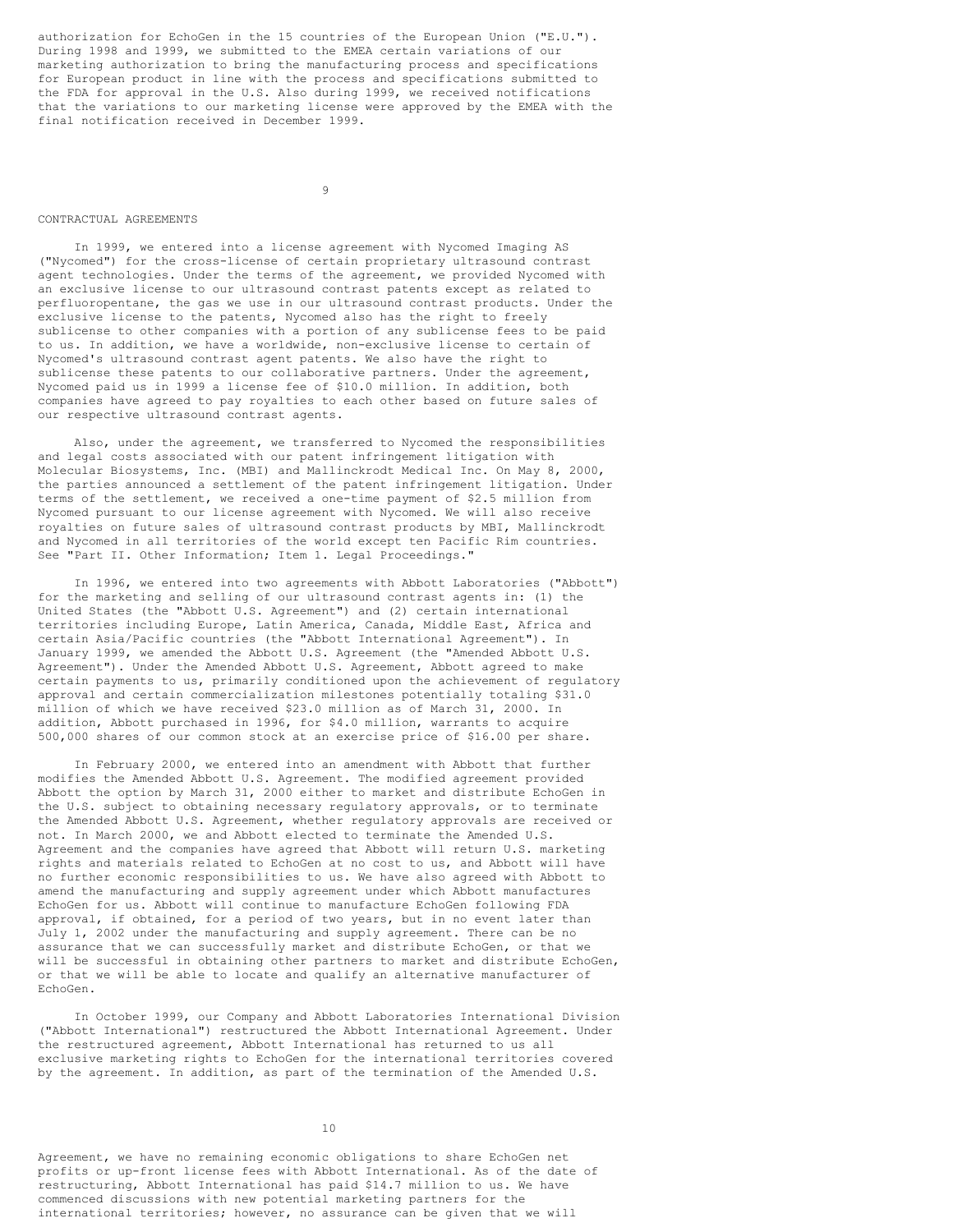authorization for EchoGen in the 15 countries of the European Union ("E.U."). During 1998 and 1999, we submitted to the EMEA certain variations of our marketing authorization to bring the manufacturing process and specifications for European product in line with the process and specifications submitted to the FDA for approval in the U.S. Also during 1999, we received notifications that the variations to our marketing license were approved by the EMEA with the final notification received in December 1999.

9

#### CONTRACTUAL AGREEMENTS

In 1999, we entered into a license agreement with Nycomed Imaging AS ("Nycomed") for the cross-license of certain proprietary ultrasound contrast agent technologies. Under the terms of the agreement, we provided Nycomed with an exclusive license to our ultrasound contrast patents except as related to perfluoropentane, the gas we use in our ultrasound contrast products. Under the exclusive license to the patents, Nycomed also has the right to freely sublicense to other companies with a portion of any sublicense fees to be paid to us. In addition, we have a worldwide, non-exclusive license to certain of Nycomed's ultrasound contrast agent patents. We also have the right to sublicense these patents to our collaborative partners. Under the agreement, Nycomed paid us in 1999 a license fee of \$10.0 million. In addition, both companies have agreed to pay royalties to each other based on future sales of our respective ultrasound contrast agents.

Also, under the agreement, we transferred to Nycomed the responsibilities and legal costs associated with our patent infringement litigation with Molecular Biosystems, Inc. (MBI) and Mallinckrodt Medical Inc. On May 8, 2000, the parties announced a settlement of the patent infringement litigation. Under terms of the settlement, we received a one-time payment of \$2.5 million from Nycomed pursuant to our license agreement with Nycomed. We will also receive royalties on future sales of ultrasound contrast products by MBI, Mallinckrodt and Nycomed in all territories of the world except ten Pacific Rim countries. See "Part II. Other Information; Item 1. Legal Proceedings."

In 1996, we entered into two agreements with Abbott Laboratories ("Abbott") for the marketing and selling of our ultrasound contrast agents in: (1) the United States (the "Abbott U.S. Agreement") and (2) certain international territories including Europe, Latin America, Canada, Middle East, Africa and certain Asia/Pacific countries (the "Abbott International Agreement"). In January 1999, we amended the Abbott U.S. Agreement (the "Amended Abbott U.S. Agreement"). Under the Amended Abbott U.S. Agreement, Abbott agreed to make certain payments to us, primarily conditioned upon the achievement of regulatory approval and certain commercialization milestones potentially totaling \$31.0 million of which we have received \$23.0 million as of March 31, 2000. In addition, Abbott purchased in 1996, for \$4.0 million, warrants to acquire 500,000 shares of our common stock at an exercise price of \$16.00 per share.

In February 2000, we entered into an amendment with Abbott that further modifies the Amended Abbott U.S. Agreement. The modified agreement provided Abbott the option by March 31, 2000 either to market and distribute EchoGen in the U.S. subject to obtaining necessary regulatory approvals, or to terminate the Amended Abbott U.S. Agreement, whether regulatory approvals are received or not. In March 2000, we and Abbott elected to terminate the Amended U.S. Agreement and the companies have agreed that Abbott will return U.S. marketing rights and materials related to EchoGen at no cost to us, and Abbott will have no further economic responsibilities to us. We have also agreed with Abbott to amend the manufacturing and supply agreement under which Abbott manufactures EchoGen for us. Abbott will continue to manufacture EchoGen following FDA approval, if obtained, for a period of two years, but in no event later than July 1, 2002 under the manufacturing and supply agreement. There can be no assurance that we can successfully market and distribute EchoGen, or that we will be successful in obtaining other partners to market and distribute EchoGen, or that we will be able to locate and qualify an alternative manufacturer of EchoGen.

In October 1999, our Company and Abbott Laboratories International Division ("Abbott International") restructured the Abbott International Agreement. Under the restructured agreement, Abbott International has returned to us all exclusive marketing rights to EchoGen for the international territories covered by the agreement. In addition, as part of the termination of the Amended U.S.

Agreement, we have no remaining economic obligations to share EchoGen net profits or up-front license fees with Abbott International. As of the date of restructuring, Abbott International has paid \$14.7 million to us. We have commenced discussions with new potential marketing partners for the international territories; however, no assurance can be given that we will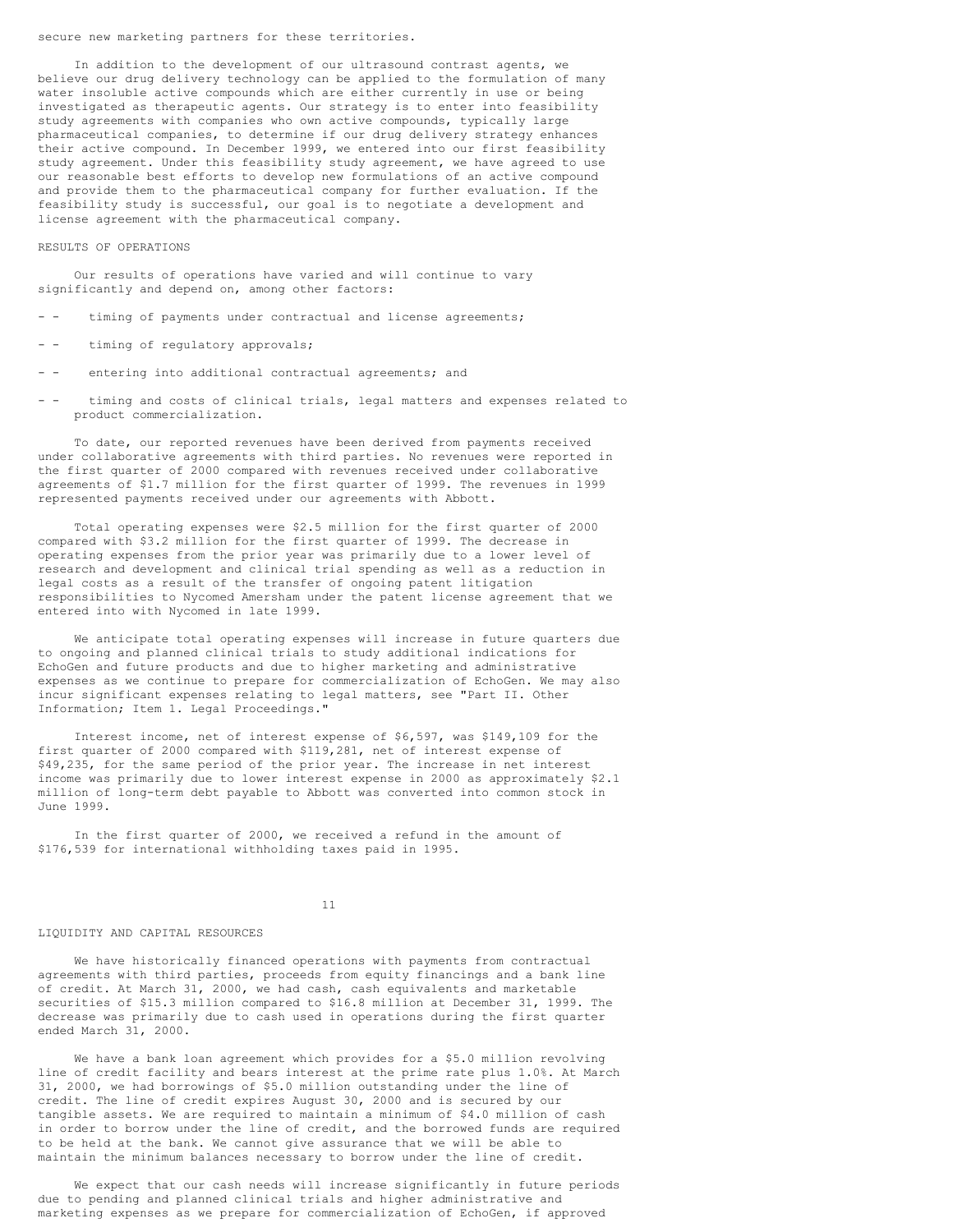#### secure new marketing partners for these territories.

In addition to the development of our ultrasound contrast agents, we believe our drug delivery technology can be applied to the formulation of many water insoluble active compounds which are either currently in use or being investigated as therapeutic agents. Our strategy is to enter into feasibility study agreements with companies who own active compounds, typically large pharmaceutical companies, to determine if our drug delivery strategy enhances their active compound. In December 1999, we entered into our first feasibility study agreement. Under this feasibility study agreement, we have agreed to use our reasonable best efforts to develop new formulations of an active compound and provide them to the pharmaceutical company for further evaluation. If the feasibility study is successful, our goal is to negotiate a development and license agreement with the pharmaceutical company.

#### RESULTS OF OPERATIONS

Our results of operations have varied and will continue to vary significantly and depend on, among other factors:

- timing of payments under contractual and license agreements;
- - timing of regulatory approvals;
- - entering into additional contractual agreements; and
- - timing and costs of clinical trials, legal matters and expenses related to product commercialization.

To date, our reported revenues have been derived from payments received under collaborative agreements with third parties. No revenues were reported in the first quarter of 2000 compared with revenues received under collaborative agreements of \$1.7 million for the first quarter of 1999. The revenues in 1999 represented payments received under our agreements with Abbott.

Total operating expenses were \$2.5 million for the first quarter of 2000 compared with \$3.2 million for the first quarter of 1999. The decrease in operating expenses from the prior year was primarily due to a lower level of research and development and clinical trial spending as well as a reduction in legal costs as a result of the transfer of ongoing patent litigation responsibilities to Nycomed Amersham under the patent license agreement that we entered into with Nycomed in late 1999.

We anticipate total operating expenses will increase in future quarters due to ongoing and planned clinical trials to study additional indications for EchoGen and future products and due to higher marketing and administrative expenses as we continue to prepare for commercialization of EchoGen. We may also incur significant expenses relating to legal matters, see "Part II. Other Information; Item 1. Legal Proceedings."

Interest income, net of interest expense of \$6,597, was \$149,109 for the first quarter of 2000 compared with \$119,281, net of interest expense of \$49,235, for the same period of the prior year. The increase in net interest income was primarily due to lower interest expense in 2000 as approximately \$2.1 million of long-term debt payable to Abbott was converted into common stock in June 1999.

In the first quarter of 2000, we received a refund in the amount of \$176,539 for international withholding taxes paid in 1995.

## 11

#### LIQUIDITY AND CAPITAL RESOURCES

We have historically financed operations with payments from contractual agreements with third parties, proceeds from equity financings and a bank line of credit. At March 31, 2000, we had cash, cash equivalents and marketable securities of \$15.3 million compared to \$16.8 million at December 31, 1999. The decrease was primarily due to cash used in operations during the first quarter ended March 31, 2000.

We have a bank loan agreement which provides for a \$5.0 million revolving line of credit facility and bears interest at the prime rate plus 1.0%. At March 31, 2000, we had borrowings of \$5.0 million outstanding under the line of credit. The line of credit expires August 30, 2000 and is secured by our tangible assets. We are required to maintain a minimum of \$4.0 million of cash in order to borrow under the line of credit, and the borrowed funds are required to be held at the bank. We cannot give assurance that we will be able to maintain the minimum balances necessary to borrow under the line of credit.

We expect that our cash needs will increase significantly in future periods due to pending and planned clinical trials and higher administrative and marketing expenses as we prepare for commercialization of EchoGen, if approved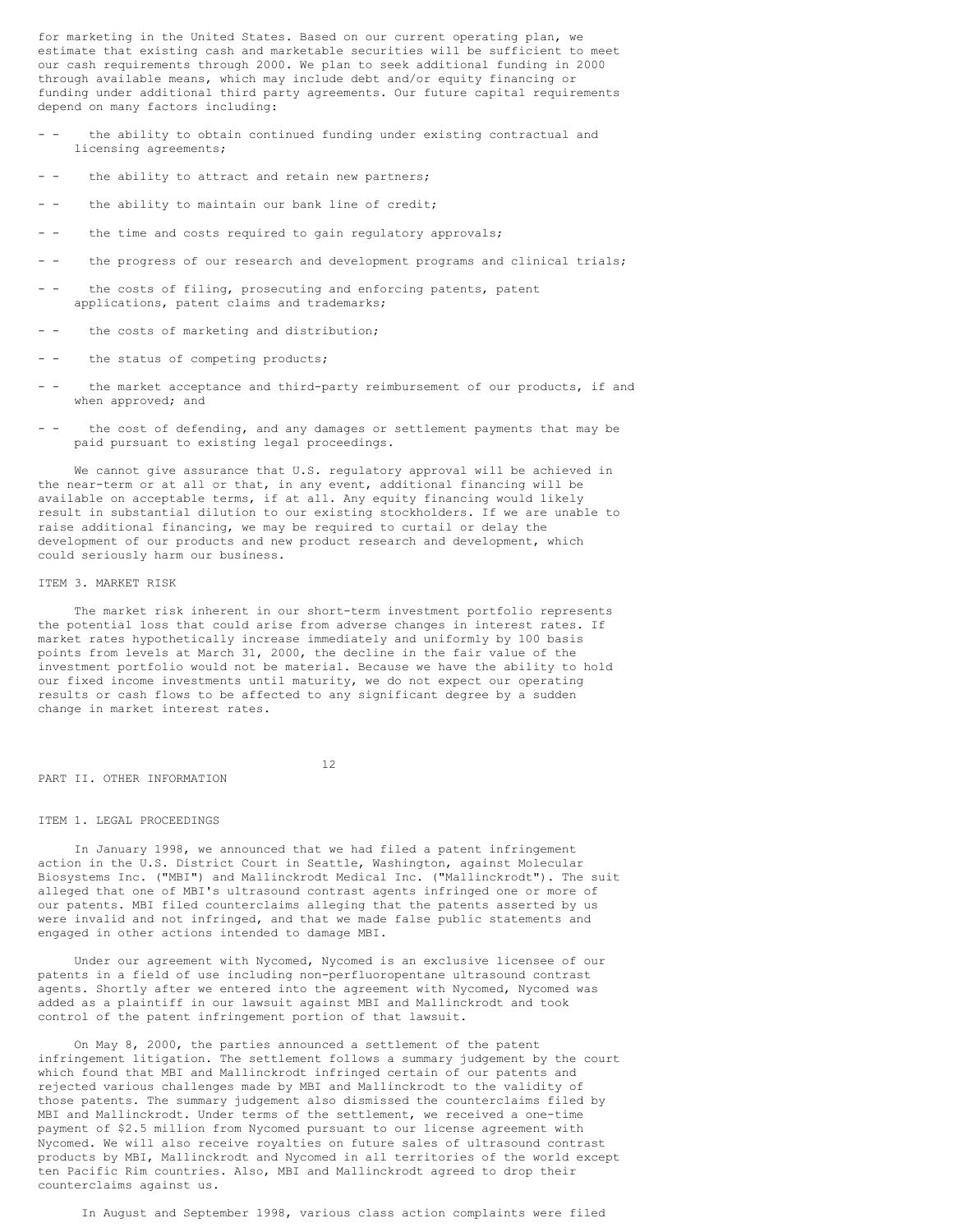for marketing in the United States. Based on our current operating plan, we estimate that existing cash and marketable securities will be sufficient to meet our cash requirements through 2000. We plan to seek additional funding in 2000 through available means, which may include debt and/or equity financing or funding under additional third party agreements. Our future capital requirements depend on many factors including:

- - the ability to obtain continued funding under existing contractual and licensing agreements;
- the ability to attract and retain new partners;
- - the ability to maintain our bank line of credit;
- - the time and costs required to gain regulatory approvals;
- - the progress of our research and development programs and clinical trials;
- - the costs of filing, prosecuting and enforcing patents, patent applications, patent claims and trademarks;
- - the costs of marketing and distribution;
- - the status of competing products;
- the market acceptance and third-party reimbursement of our products, if and when approved; and
- - the cost of defending, and any damages or settlement payments that may be paid pursuant to existing legal proceedings.

We cannot give assurance that U.S. regulatory approval will be achieved in the near-term or at all or that, in any event, additional financing will be available on acceptable terms, if at all. Any equity financing would likely result in substantial dilution to our existing stockholders. If we are unable to raise additional financing, we may be required to curtail or delay the development of our products and new product research and development, which could seriously harm our business.

### ITEM 3. MARKET RISK

The market risk inherent in our short-term investment portfolio represents the potential loss that could arise from adverse changes in interest rates. If market rates hypothetically increase immediately and uniformly by 100 basis points from levels at March 31, 2000, the decline in the fair value of the investment portfolio would not be material. Because we have the ability to hold our fixed income investments until maturity, we do not expect our operating results or cash flows to be affected to any significant degree by a sudden change in market interest rates.

12

# PART II. OTHER INFORMATION

#### ITEM 1. LEGAL PROCEEDINGS

In January 1998, we announced that we had filed a patent infringement action in the U.S. District Court in Seattle, Washington, against Molecular Biosystems Inc. ("MBI") and Mallinckrodt Medical Inc. ("Mallinckrodt"). The suit alleged that one of MBI's ultrasound contrast agents infringed one or more of our patents. MBI filed counterclaims alleging that the patents asserted by us were invalid and not infringed, and that we made false public statements and engaged in other actions intended to damage MBI.

Under our agreement with Nycomed, Nycomed is an exclusive licensee of our patents in a field of use including non-perfluoropentane ultrasound contrast agents. Shortly after we entered into the agreement with Nycomed, Nycomed was added as a plaintiff in our lawsuit against MBI and Mallinckrodt and took control of the patent infringement portion of that lawsuit.

On May 8, 2000, the parties announced a settlement of the patent infringement litigation. The settlement follows a summary judgement by the court which found that MBI and Mallinckrodt infringed certain of our patents and rejected various challenges made by MBI and Mallinckrodt to the validity of those patents. The summary judgement also dismissed the counterclaims filed by MBI and Mallinckrodt. Under terms of the settlement, we received a one-time payment of \$2.5 million from Nycomed pursuant to our license agreement with Nycomed. We will also receive royalties on future sales of ultrasound contrast products by MBI, Mallinckrodt and Nycomed in all territories of the world except ten Pacific Rim countries. Also, MBI and Mallinckrodt agreed to drop their counterclaims against us.

In August and September 1998, various class action complaints were filed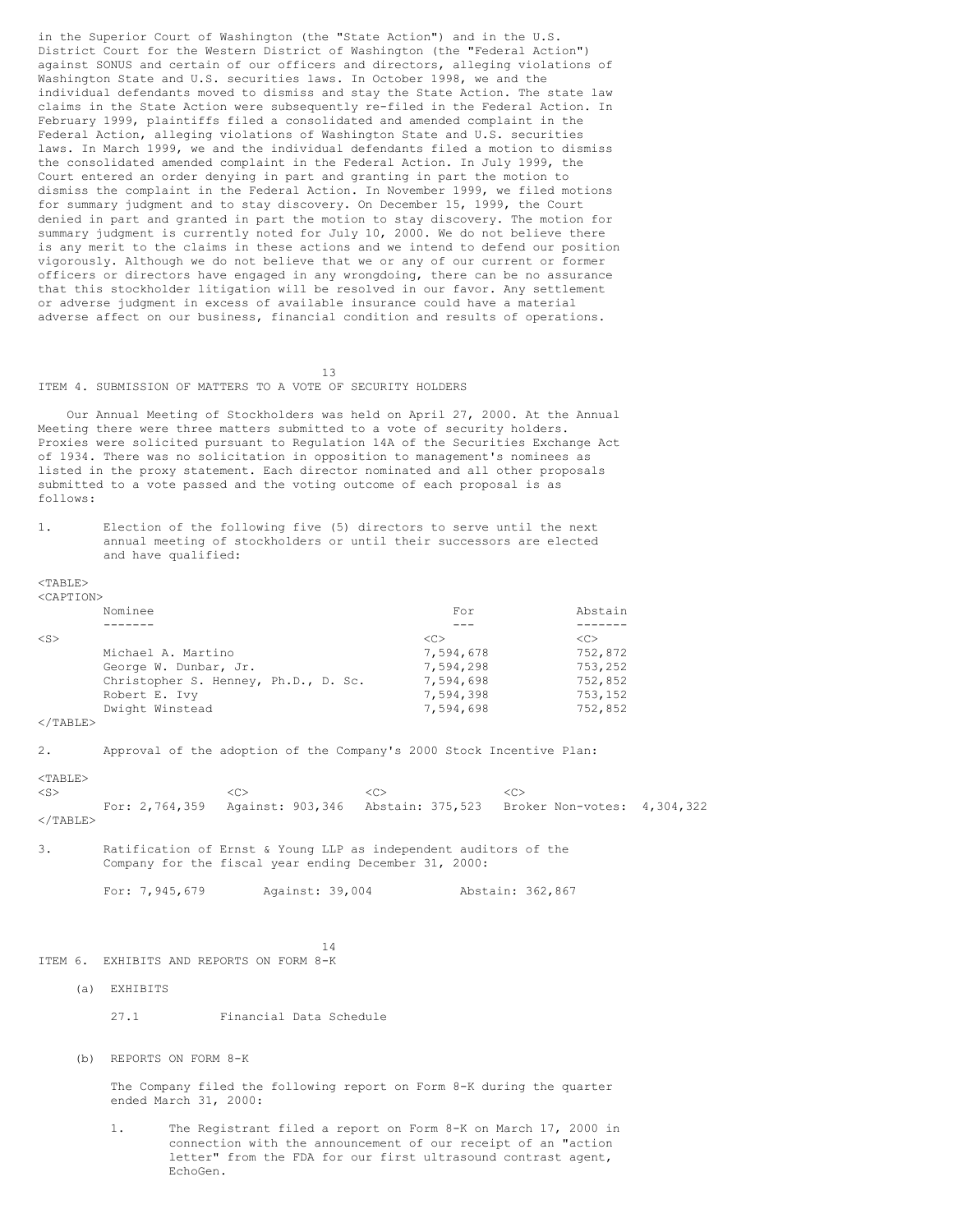in the Superior Court of Washington (the "State Action") and in the U.S. District Court for the Western District of Washington (the "Federal Action") against SONUS and certain of our officers and directors, alleging violations of Washington State and U.S. securities laws. In October 1998, we and the individual defendants moved to dismiss and stay the State Action. The state law claims in the State Action were subsequently re-filed in the Federal Action. In February 1999, plaintiffs filed a consolidated and amended complaint in the Federal Action, alleging violations of Washington State and U.S. securities laws. In March 1999, we and the individual defendants filed a motion to dismiss the consolidated amended complaint in the Federal Action. In July 1999, the Court entered an order denying in part and granting in part the motion to dismiss the complaint in the Federal Action. In November 1999, we filed motions for summary judgment and to stay discovery. On December 15, 1999, the Court denied in part and granted in part the motion to stay discovery. The motion for summary judgment is currently noted for July 10, 2000. We do not believe there is any merit to the claims in these actions and we intend to defend our position vigorously. Although we do not believe that we or any of our current or former officers or directors have engaged in any wrongdoing, there can be no assurance that this stockholder litigation will be resolved in our favor. Any settlement or adverse judgment in excess of available insurance could have a material adverse affect on our business, financial condition and results of operations.

ITEM 4. SUBMISSION OF MATTERS TO A VOTE OF SECURITY HOLDERS

Our Annual Meeting of Stockholders was held on April 27, 2000. At the Annual Meeting there were three matters submitted to a vote of security holders. Proxies were solicited pursuant to Regulation 14A of the Securities Exchange Act of 1934. There was no solicitation in opposition to management's nominees as listed in the proxy statement. Each director nominated and all other proposals submitted to a vote passed and the voting outcome of each proposal is as follows:

13

1. Election of the following five (5) directors to serve until the next annual meeting of stockholders or until their successors are elected and have qualified:

#### <TABLE> <CAPTION>

| NUAE 1 1 UNZ |                                      |               |               |
|--------------|--------------------------------------|---------------|---------------|
|              | Nominee                              | For           | Abstain       |
|              |                                      |               |               |
| $<$ S>       |                                      | < <sub></sub> | < <sub></sub> |
|              | Michael A. Martino                   | 7,594,678     | 752,872       |
|              | George W. Dunbar, Jr.                | 7.594.298     | 753,252       |
|              | Christopher S. Henney, Ph.D., D. Sc. | 7,594,698     | 752,852       |
|              | Robert E. Ivy                        | 7,594,398     | 753,152       |
|              | Dwight Winstead                      | 7,594,698     | 752,852       |
|              |                                      |               |               |

 $<$ /TABLE>

2. Approval of the adoption of the Company's 2000 Stock Incentive Plan:

<TABLE>

<S> <C> <C> <C> For: 2,764,359 Against: 903,346 Abstain: 375,523 Broker Non-votes: 4,304,322  $<$ /TABLE>

3. Ratification of Ernst & Young LLP as independent auditors of the Company for the fiscal year ending December 31, 2000:

For: 7,945,679 Against: 39,004 Abstain: 362,867

14

# ITEM 6. EXHIBITS AND REPORTS ON FORM 8-K

(a) EXHIBITS

27.1 Financial Data Schedule

(b) REPORTS ON FORM 8-K

The Company filed the following report on Form 8-K during the quarter ended March 31, 2000:

1. The Registrant filed a report on Form 8-K on March 17, 2000 in connection with the announcement of our receipt of an "action letter" from the FDA for our first ultrasound contrast agent, EchoGen.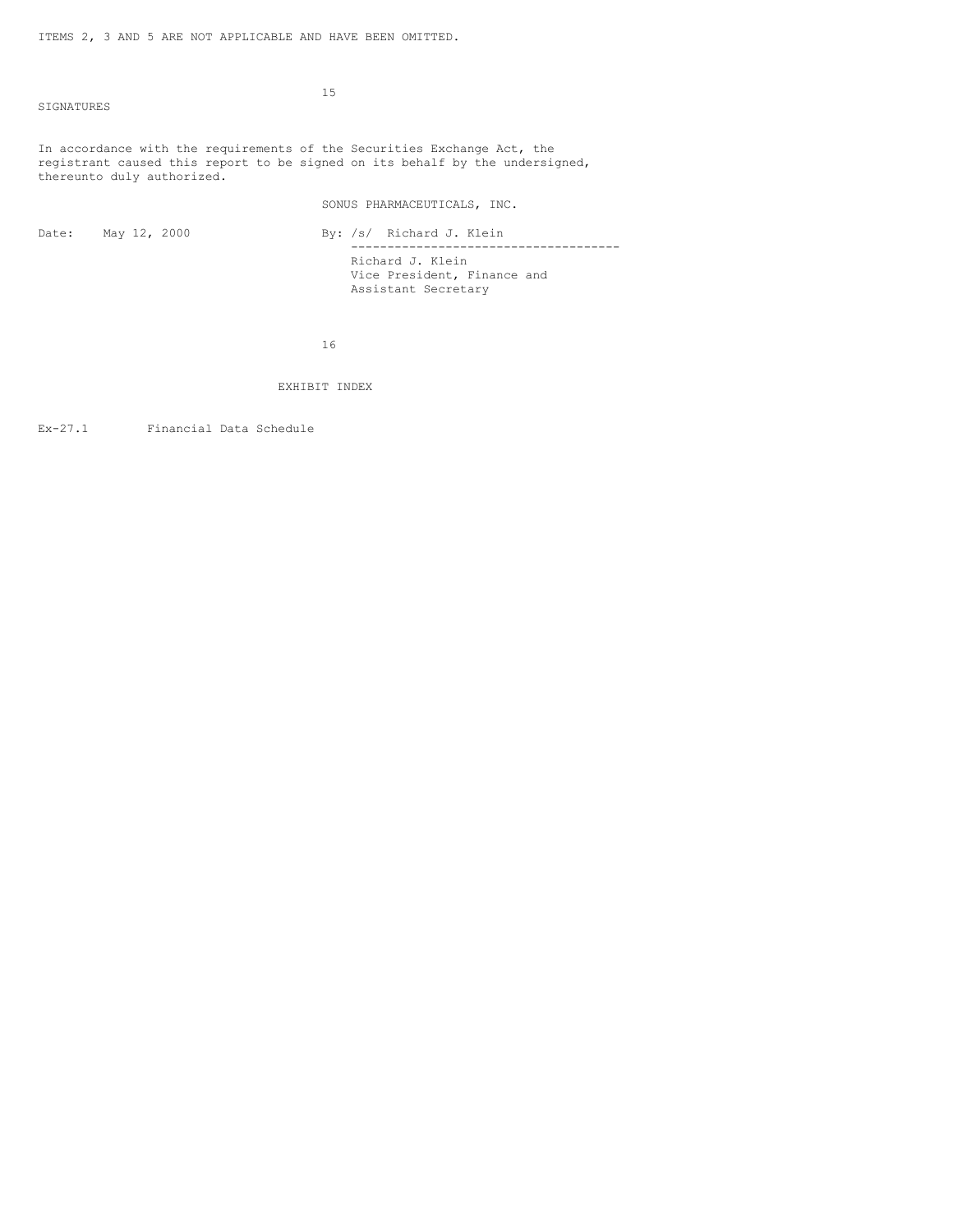SIGNATURES

15

In accordance with the requirements of the Securities Exchange Act, the registrant caused this report to be signed on its behalf by the undersigned, thereunto duly authorized.

SONUS PHARMACEUTICALS, INC.

| Date: May 12, 2000 | By: /s/ Richard J. Klein    |
|--------------------|-----------------------------|
|                    |                             |
|                    | Richard J. Klein            |
|                    | Vice President, Finance and |
|                    | Assistant Secretary         |

16

EXHIBIT INDEX

Ex-27.1 Financial Data Schedule